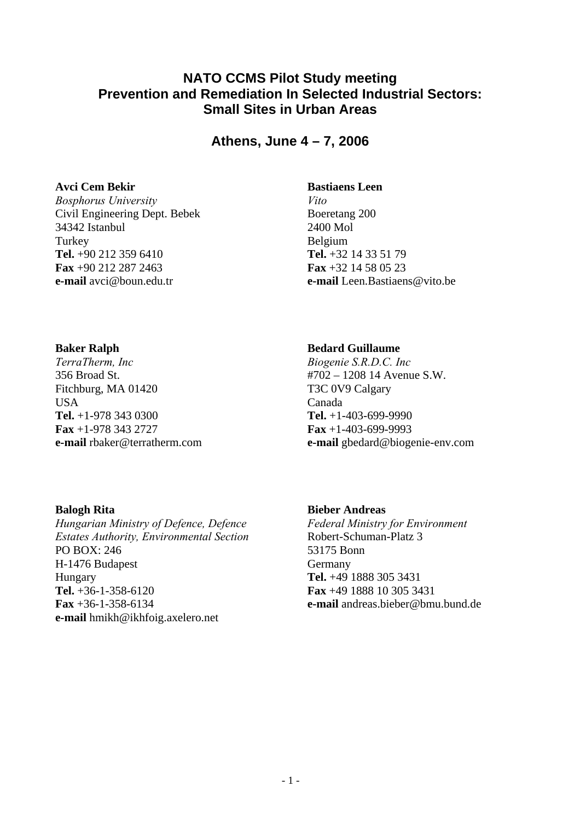# **NATO CCMS Pilot Study meeting Prevention and Remediation In Selected Industrial Sectors: Small Sites in Urban Areas**

**Athens, June 4 – 7, 2006** 

#### **Avci Cem Bekir**

*Bosphorus University*  Civil Engineering Dept. Bebek 34342 Istanbul **Turkey Tel.** +90 212 359 6410 **Fax** +90 212 287 2463 **e-mail** avci@boun.edu.tr

#### **Bastiaens Leen**

*Vito*  Boeretang 200 2400 Mol Belgium **Tel.** +32 14 33 51 79 **Fax** +32 14 58 05 23 **e-mail** Leen.Bastiaens@vito.be

#### **Baker Ralph**

*TerraTherm, Inc*  356 Broad St. Fitchburg, MA 01420 USA **Tel.** +1-978 343 0300 **Fax** +1-978 343 2727 **e-mail** rbaker@terratherm.com

# **Bedard Guillaume**

*Biogenie S.R.D.C. Inc*  #702 – 1208 14 Avenue S.W. T3C 0V9 Calgary Canada **Tel.** +1-403-699-9990 **Fax** +1-403-699-9993 **e-mail** gbedard@biogenie-env.com

## **Balogh Rita**

*Hungarian Ministry of Defence, Defence Estates Authority, Environmental Section*  PO BOX: 246 H-1476 Budapest Hungary **Tel.** +36-1-358-6120 **Fax** +36-1-358-6134 **e-mail** hmikh@ikhfoig.axelero.net

## **Bieber Andreas**

*Federal Ministry for Environment*  Robert-Schuman-Platz 3 53175 Bonn Germany **Tel.** +49 1888 305 3431 **Fax** +49 1888 10 305 3431 **e-mail** andreas.bieber@bmu.bund.de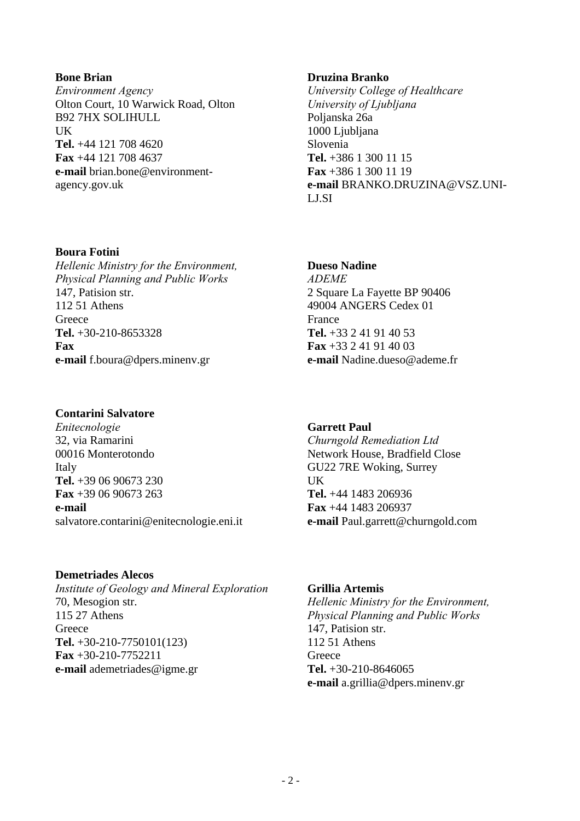#### $-2-$

**Bone Brian**  *Environment Agency*  Olton Court, 10 Warwick Road, Olton B92 7HX SOLIHULL **IK Tel.** +44 121 708 4620 **Fax** +44 121 708 4637 **e-mail** brian.bone@environmentagency.gov.uk

#### **Boura Fotini**

*Hellenic Ministry for the Environment, Physical Planning and Public Works*  147, Patision str. 112 51 Athens **Greece Tel.** +30-210-8653328 **Fax e-mail** f.boura@dpers.minenv.gr

#### **Contarini Salvatore**

*Enitecnologie*  32, via Ramarini 00016 Monterotondo Italy **Tel.** +39 06 90673 230 **Fax** +39 06 90673 263 **e-mail** salvatore.contarini@enitecnologie.eni.it

## **Demetriades Alecos**

*Institute of Geology and Mineral Exploration*  70, Mesogion str. 115 27 Athens **Greece Tel.** +30-210-7750101(123) **Fax** +30-210-7752211 **e-mail** ademetriades@igme.gr

## **Druzina Branko**

*University College of Healthcare University of Ljubljana*  Poljanska 26a 1000 Ljubljana Slovenia **Tel.** +386 1 300 11 15 **Fax** +386 1 300 11 19 **e-mail** BRANKO.DRUZINA@VSZ.UNI-LJ.SI

#### **Dueso Nadine**

*ADEME*  2 Square La Fayette BP 90406 49004 ANGERS Cedex 01 France **Tel.** +33 2 41 91 40 53 **Fax** +33 2 41 91 40 03 **e-mail** Nadine.dueso@ademe.fr

## **Garrett Paul**

*Churngold Remediation Ltd*  Network House, Bradfield Close GU22 7RE Woking, Surrey UK **Tel.** +44 1483 206936 **Fax** +44 1483 206937 **e-mail** Paul.garrett@churngold.com

## **Grillia Artemis**

*Hellenic Ministry for the Environment, Physical Planning and Public Works*  147, Patision str. 112 51 Athens **Greece Tel.** +30-210-8646065 **e-mail** a.grillia@dpers.minenv.gr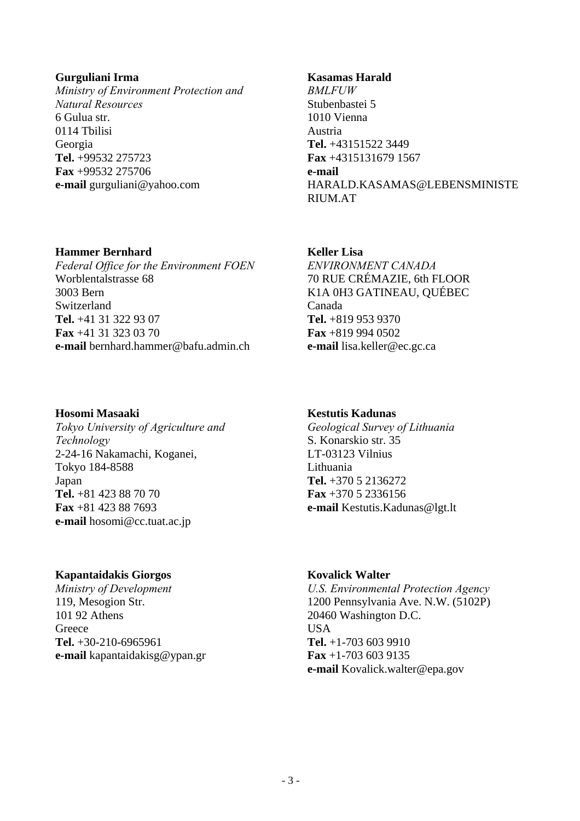#### **Gurguliani Irma**

*Ministry of Environment Protection and Natural Resources*  6 Gulua str. 0114 Tbilisi Georgia **Tel.** +99532 275723 **Fax** +99532 275706 **e-mail** gurguliani@yahoo.com

#### **Kasamas Harald**

*BMLFUW*  Stubenbastei 5 1010 Vienna Austria **Tel.** +43151522 3449 **Fax** +4315131679 1567 **e-mail** HARALD.KASAMAS@LEBENSMINISTE RIUM.AT

#### **Hammer Bernhard**

*Federal Office for the Environment FOEN*  Worblentalstrasse 68 3003 Bern Switzerland **Tel.** +41 31 322 93 07 **Fax** +41 31 323 03 70 **e-mail** bernhard.hammer@bafu.admin.ch

#### **Hosomi Masaaki**

*Tokyo University of Agriculture and Technology*  2-24-16 Nakamachi, Koganei, Tokyo 184-8588 Japan **Tel.** +81 423 88 70 70 **Fax** +81 423 88 7693 **e-mail** hosomi@cc.tuat.ac.jp

## **Kapantaidakis Giorgos**

*Ministry of Development*  119, Mesogion Str. 101 92 Athens **Greece Tel.** +30-210-6965961 **e-mail** kapantaidakisg@ypan.gr

#### **Keller Lisa**

*ENVIRONMENT CANADA*  70 RUE CRÉMAZIE, 6th FLOOR K1A 0H3 GATINEAU, QUÉBEC Canada **Tel.** +819 953 9370 **Fax** +819 994 0502 **e-mail** lisa.keller@ec.gc.ca

## **Kestutis Kadunas**

*Geological Survey of Lithuania*  S. Konarskio str. 35 LT-03123 Vilnius Lithuania **Tel.** +370 5 2136272 **Fax** +370 5 2336156 **e-mail** Kestutis.Kadunas@lgt.lt

# **Kovalick Walter**

*U.S. Environmental Protection Agency*  1200 Pennsylvania Ave. N.W. (5102P) 20460 Washington D.C. **USA Tel.** +1-703 603 9910 **Fax** +1-703 603 9135 **e-mail** Kovalick.walter@epa.gov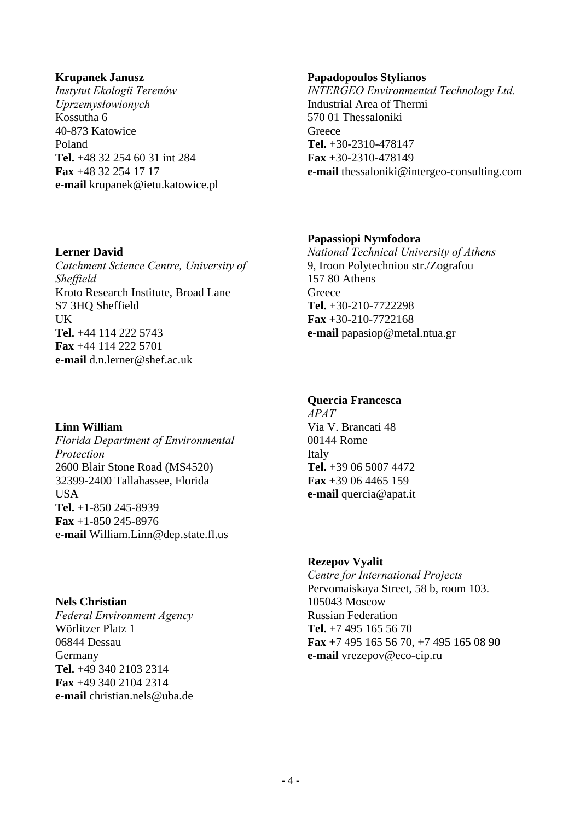#### **Krupanek Janusz**

*Instytut Ekologii Terenów Uprzemysłowionych*  Kossutha 6 40-873 Katowice Poland **Tel.** +48 32 254 60 31 int 284 **Fax** +48 32 254 17 17 **e-mail** krupanek@ietu.katowice.pl

#### **Papadopoulos Stylianos**

*INTERGEO Environmental Technology Ltd.*  Industrial Area of Thermi 570 01 Thessaloniki **Greece Tel.** +30-2310-478147 **Fax** +30-2310-478149 **e-mail** thessaloniki@intergeo-consulting.com

#### **Papassiopi Nymfodora**

*National Technical University of Athens*  9, Iroon Polytechniou str./Zografou 157 80 Athens **Greece Tel.** +30-210-7722298 **Fax** +30-210-7722168 **e-mail** papasiop@metal.ntua.gr

# **Lerner David**

*Catchment Science Centre, University of Sheffield*  Kroto Research Institute, Broad Lane S7 3HQ Sheffield UK **Tel.** +44 114 222 5743 **Fax** +44 114 222 5701 **e-mail** d.n.lerner@shef.ac.uk

# **Quercia Francesca**

*APAT*  Via V. Brancati 48 00144 Rome Italy **Tel.** +39 06 5007 4472 **Fax** +39 06 4465 159 **e-mail** quercia@apat.it

**Rezepov Vyalit** 

*Centre for International Projects*  Pervomaiskaya Street, 58 b, room 103. 105043 Moscow Russian Federation **Tel.** +7 495 165 56 70 **Fax** +7 495 165 56 70, +7 495 165 08 90 **e-mail** vrezepov@eco-cip.ru

## **Linn William**

*Florida Department of Environmental Protection*  2600 Blair Stone Road (MS4520) 32399-2400 Tallahassee, Florida USA **Tel.** +1-850 245-8939 **Fax** +1-850 245-8976 **e-mail** William.Linn@dep.state.fl.us

#### **Nels Christian**

*Federal Environment Agency*  Wörlitzer Platz 1 06844 Dessau Germany **Tel.** +49 340 2103 2314 **Fax** +49 340 2104 2314 **e-mail** christian.nels@uba.de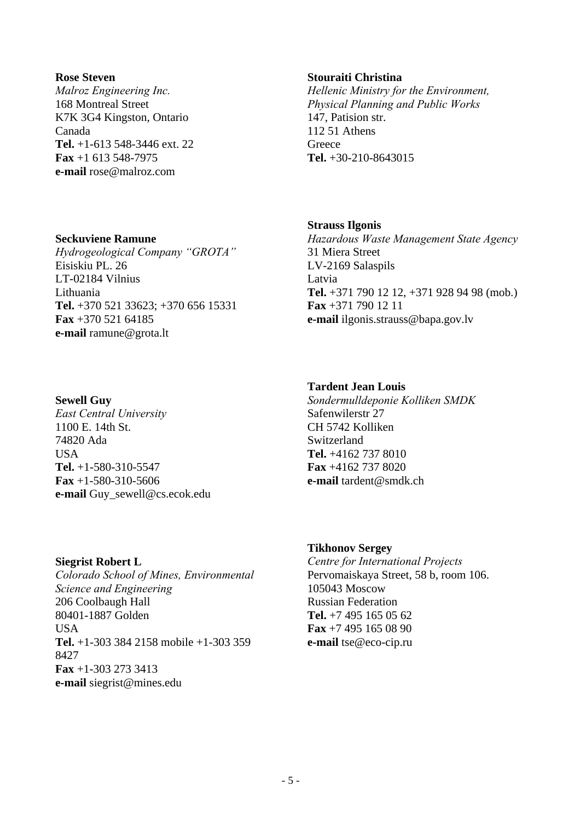#### **Rose Steven**

*Malroz Engineering Inc.*  168 Montreal Street K7K 3G4 Kingston, Ontario Canada **Tel.** +1-613 548-3446 ext. 22 **Fax** +1 613 548-7975 **e-mail** rose@malroz.com

#### **Seckuviene Ramune**

*Hydrogeological Company "GROTA"*  Eisiskiu PL. 26 LT-02184 Vilnius Lithuania **Tel.** +370 521 33623; +370 656 15331 **Fax** +370 521 64185 **e-mail** ramune@grota.lt

#### **Sewell Guy**

*East Central University*  1100 E. 14th St. 74820 Ada USA **Tel.** +1-580-310-5547 **Fax** +1-580-310-5606 **e-mail** Guy\_sewell@cs.ecok.edu

#### **Siegrist Robert L**  *Colorado School of Mines, Environmental Science and Engineering*  206 Coolbaugh Hall 80401-1887 Golden **I**ISA **Tel.** +1-303 384 2158 mobile +1-303 359 8427 **Fax** +1-303 273 3413 **e-mail** siegrist@mines.edu

#### **Stouraiti Christina**

*Hellenic Ministry for the Environment, Physical Planning and Public Works*  147, Patision str. 112 51 Athens **Greece Tel.** +30-210-8643015

#### **Strauss Ilgonis**

*Hazardous Waste Management State Agency*  31 Miera Street LV-2169 Salaspils Latvia **Tel.** +371 790 12 12, +371 928 94 98 (mob.) **Fax** +371 790 12 11 **e-mail** ilgonis.strauss@bapa.gov.lv

# **Tardent Jean Louis**

*Sondermulldeponie Kolliken SMDK*  Safenwilerstr 27 CH 5742 Kolliken Switzerland **Tel.** +4162 737 8010 **Fax** +4162 737 8020 **e-mail** tardent@smdk.ch

## **Tikhonov Sergey**

*Centre for International Projects*  Pervomaiskaya Street, 58 b, room 106. 105043 Moscow Russian Federation **Tel.** +7 495 165 05 62 **Fax** +7 495 165 08 90 **e-mail** tse@eco-cip.ru